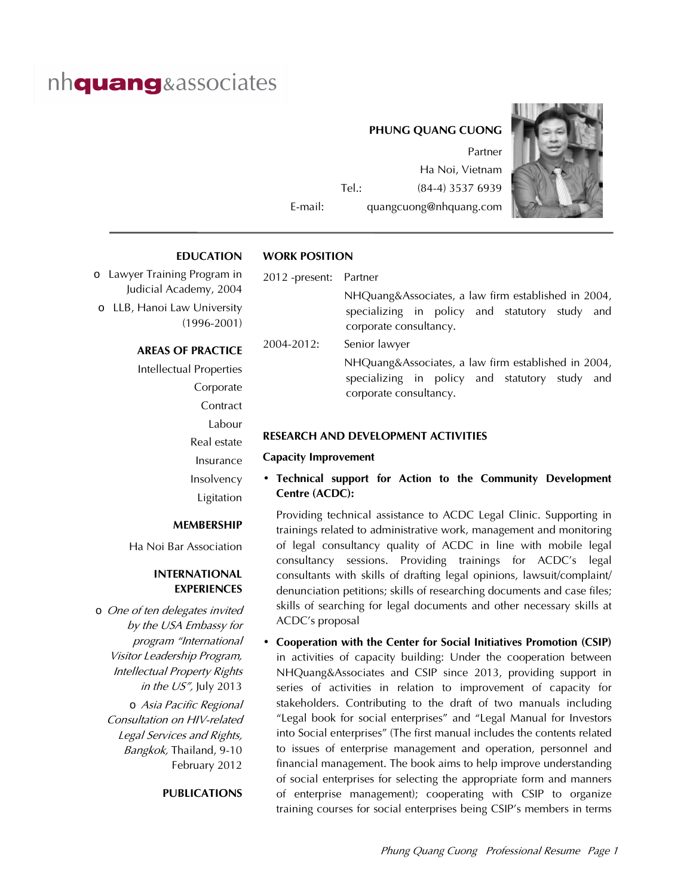# nh**quang**&associates

# **PHUNG QUANG CUONG**

Partner Ha Noi, Vietnam Tel.: (84-4) 3537 6939 E-mail: quangcuong@nhquang.com



**EDUCATION**

### **WORK POSITION**

o Lawyer Training Program in Judicial Academy, 2004 o LLB, Hanoi Law University (1996-2001)

#### **AREAS OF PRACTICE**

Intellectual Properties Corporate **Contract** Labour Real estate Insurance Insolvency Ligitation

#### **MEMBERSHIP**

Ha Noi Bar Association

#### **INTERNATIONAL EXPERIENCES**

o One of ten delegates invited by the USA Embassy for program "International Visitor Leadership Program, Intellectual Property Rights in the  $US''$ , July 2013

o Asia Pacific Regional Consultation on HIV-related Legal Services and Rights, Bangkok, Thailand, 9-10 February 2012

#### **PUBLICATIONS**

#### 2012 -present: Partner

 NHQuang&Associates, a law firm established in 2004, specializing in policy and statutory study and corporate consultancy.

2004-2012: Senior lawyer

 NHQuang&Associates, a law firm established in 2004, specializing in policy and statutory study and corporate consultancy.

#### **RESEARCH AND DEVELOPMENT ACTIVITIES**

#### **Capacity Improvement**

• **Technical support for Action to the Community Development Centre (ACDC):**

 Providing technical assistance to ACDC Legal Clinic. Supporting in trainings related to administrative work, management and monitoring of legal consultancy quality of ACDC in line with mobile legal consultancy sessions. Providing trainings for ACDC's legal consultants with skills of drafting legal opinions, lawsuit/complaint/ denunciation petitions; skills of researching documents and case files; skills of searching for legal documents and other necessary skills at ACDC's proposal

• **Cooperation with the Center for Social Initiatives Promotion (CSIP)**  in activities of capacity building: Under the cooperation between NHQuang&Associates and CSIP since 2013, providing support in series of activities in relation to improvement of capacity for stakeholders. Contributing to the draft of two manuals including "Legal book for social enterprises" and "Legal Manual for Investors into Social enterprises" (The first manual includes the contents related to issues of enterprise management and operation, personnel and financial management. The book aims to help improve understanding of social enterprises for selecting the appropriate form and manners of enterprise management); cooperating with CSIP to organize training courses for social enterprises being CSIP's members in terms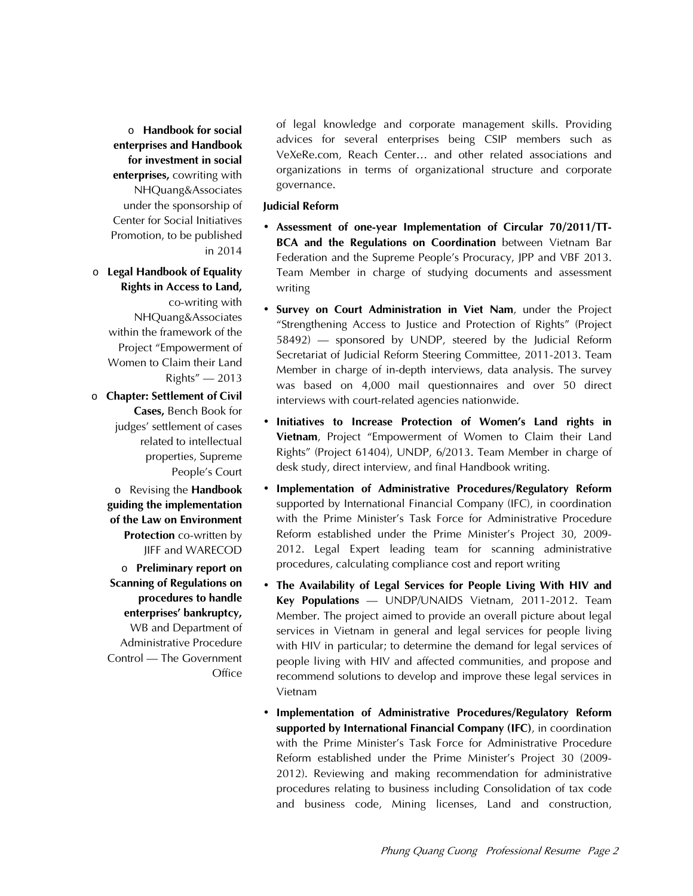o **Handbook for social enterprises and Handbook for investment in social enterprises,** cowriting with NHQuang&Associates under the sponsorship of Center for Social Initiatives Promotion, to be published in 2014

## o **Legal Handbook of Equality Rights in Access to Land,**  co-writing with NHQuang&Associates within the framework of the Project "Empowerment of Women to Claim their Land  $Right's'' - 2013$

o **Chapter: Settlement of Civil Cases,** Bench Book for judges' settlement of cases related to intellectual properties, Supreme People's Court

o Revising the **Handbook guiding the implementation of the Law on Environment Protection** co-written by JIFF and WARECOD

o **Preliminary report on Scanning of Regulations on procedures to handle enterprises' bankruptcy,**  WB and Department of Administrative Procedure Control – The Government **Office** 

of legal knowledge and corporate management skills. Providing advices for several enterprises being CSIP members such as VeXeRe.com, Reach Center… and other related associations and organizations in terms of organizational structure and corporate governance.

#### **Judicial Reform**

- **Assessment of one-year Implementation of Circular 70/2011/TT-BCA and the Regulations on Coordination** between Vietnam Bar Federation and the Supreme People's Procuracy, JPP and VBF 2013. Team Member in charge of studying documents and assessment writing
- **Survey on Court Administration in Viet Nam**, under the Project "Strengthening Access to Justice and Protection of Rights" (Project 58492) – sponsored by UNDP, steered by the Judicial Reform Secretariat of Judicial Reform Steering Committee, 2011-2013. Team Member in charge of in-depth interviews, data analysis. The survey was based on 4,000 mail questionnaires and over 50 direct interviews with court-related agencies nationwide.
- **Initiatives to Increase Protection of Women's Land rights in Vietnam**, Project "Empowerment of Women to Claim their Land Rights" (Project 61404), UNDP, 6/2013. Team Member in charge of desk study, direct interview, and final Handbook writing.
- **Implementation of Administrative Procedures/Regulatory Reform** supported by International Financial Company (IFC), in coordination with the Prime Minister's Task Force for Administrative Procedure Reform established under the Prime Minister's Project 30, 2009- 2012. Legal Expert leading team for scanning administrative procedures, calculating compliance cost and report writing
- **The Availability of Legal Services for People Living With HIV and Key Populations** – UNDP/UNAIDS Vietnam, 2011-2012. Team Member. The project aimed to provide an overall picture about legal services in Vietnam in general and legal services for people living with HIV in particular; to determine the demand for legal services of people living with HIV and affected communities, and propose and recommend solutions to develop and improve these legal services in Vietnam
- **Implementation of Administrative Procedures/Regulatory Reform supported by International Financial Company (IFC)**, in coordination with the Prime Minister's Task Force for Administrative Procedure Reform established under the Prime Minister's Project 30 (2009- 2012). Reviewing and making recommendation for administrative procedures relating to business including Consolidation of tax code and business code, Mining licenses, Land and construction,